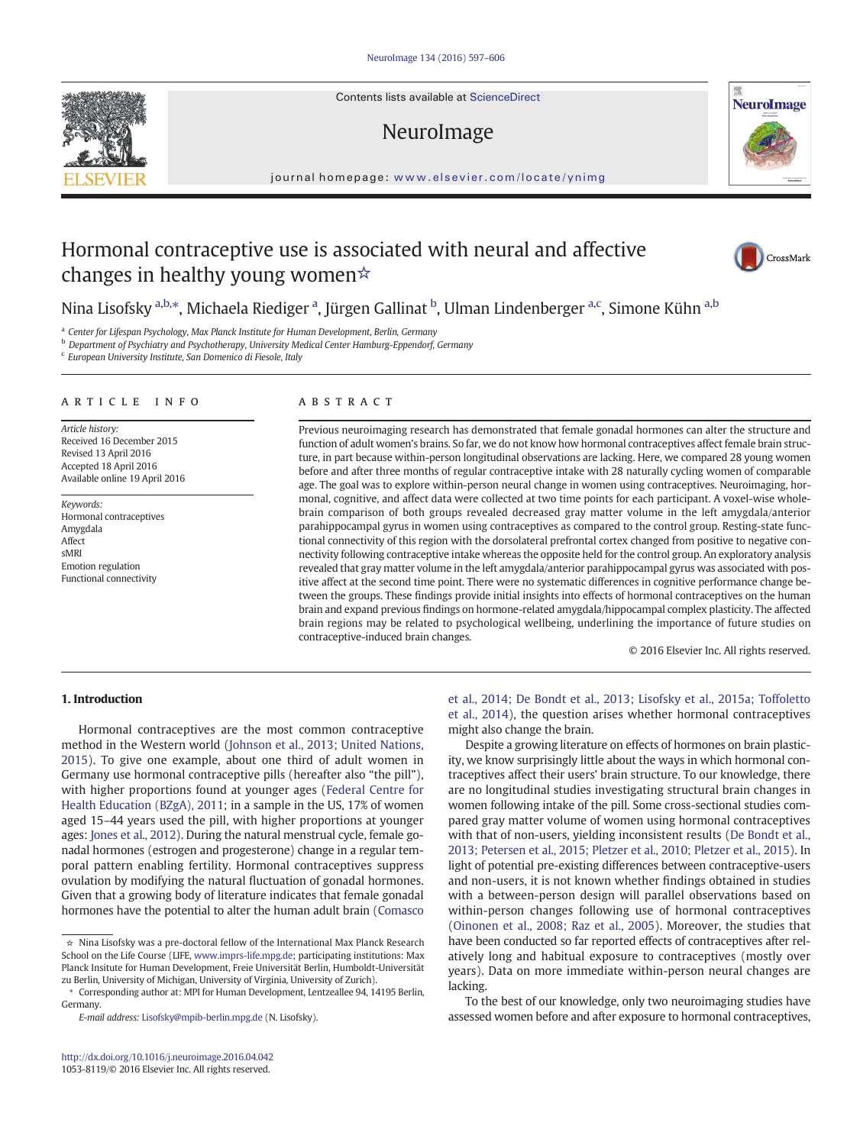Contents lists available at ScienceDirect

# NeuroImage



journal homepage: <www.elsevier.com/locate/ynimg>

# Hormonal contraceptive use is associated with neural and affective changes in healthy young women☆



Nina Lisofsky <sup>a,b,</sup>\*, Michaela Riediger <sup>a</sup>, Jürgen Gallinat <sup>b</sup>, Ulman Lindenberger <sup>a,c</sup>, Simone Kühn <sup>a,b</sup>

<sup>a</sup> Center for Lifespan Psychology, Max Planck Institute for Human Development, Berlin, Germany

<sup>b</sup> Department of Psychiatry and Psychotherapy, University Medical Center Hamburg-Eppendorf, Germany

<sup>c</sup> European University Institute, San Domenico di Fiesole, Italy

#### article info abstract

Article history: Received 16 December 2015 Revised 13 April 2016 Accepted 18 April 2016 Available online 19 April 2016

Keywords: Hormonal contraceptives Amygdala Affect sMRI Emotion regulation Functional connectivity

Previous neuroimaging research has demonstrated that female gonadal hormones can alter the structure and function of adult women's brains. So far, we do not know how hormonal contraceptives affect female brain structure, in part because within-person longitudinal observations are lacking. Here, we compared 28 young women before and after three months of regular contraceptive intake with 28 naturally cycling women of comparable age. The goal was to explore within-person neural change in women using contraceptives. Neuroimaging, hormonal, cognitive, and affect data were collected at two time points for each participant. A voxel-wise wholebrain comparison of both groups revealed decreased gray matter volume in the left amygdala/anterior parahippocampal gyrus in women using contraceptives as compared to the control group. Resting-state functional connectivity of this region with the dorsolateral prefrontal cortex changed from positive to negative connectivity following contraceptive intake whereas the opposite held for the control group. An exploratory analysis revealed that gray matter volume in the left amygdala/anterior parahippocampal gyrus was associated with positive affect at the second time point. There were no systematic differences in cognitive performance change between the groups. These findings provide initial insights into effects of hormonal contraceptives on the human brain and expand previous findings on hormone-related amygdala/hippocampal complex plasticity. The affected brain regions may be related to psychological wellbeing, underlining the importance of future studies on contraceptive-induced brain changes.

© 2016 Elsevier Inc. All rights reserved.

# 1. Introduction

Hormonal contraceptives are the most common contraceptive method in the Western world ([Johnson et al., 2013; United Nations,](#page-8-0) [2015\)](#page-8-0). To give one example, about one third of adult women in Germany use hormonal contraceptive pills (hereafter also "the pill"), with higher proportions found at younger ages [\(Federal Centre for](#page-8-0) [Health Education \(BZgA\), 2011;](#page-8-0) in a sample in the US, 17% of women aged 15–44 years used the pill, with higher proportions at younger ages: [Jones et al., 2012\)](#page-8-0). During the natural menstrual cycle, female gonadal hormones (estrogen and progesterone) change in a regular temporal pattern enabling fertility. Hormonal contraceptives suppress ovulation by modifying the natural fluctuation of gonadal hormones. Given that a growing body of literature indicates that female gonadal hormones have the potential to alter the human adult brain ([Comasco](#page-8-0)

[et al., 2014; De Bondt et al., 2013; Lisofsky et al., 2015a; Toffoletto](#page-8-0) [et al., 2014](#page-8-0)), the question arises whether hormonal contraceptives might also change the brain.

Despite a growing literature on effects of hormones on brain plasticity, we know surprisingly little about the ways in which hormonal contraceptives affect their users' brain structure. To our knowledge, there are no longitudinal studies investigating structural brain changes in women following intake of the pill. Some cross-sectional studies compared gray matter volume of women using hormonal contraceptives with that of non-users, yielding inconsistent results ([De Bondt et al.,](#page-8-0) [2013; Petersen et al., 2015; Pletzer et al., 2010; Pletzer et al., 2015](#page-8-0)). In light of potential pre-existing differences between contraceptive-users and non-users, it is not known whether findings obtained in studies with a between-person design will parallel observations based on within-person changes following use of hormonal contraceptives [\(Oinonen et al., 2008; Raz et al., 2005\)](#page-9-0). Moreover, the studies that have been conducted so far reported effects of contraceptives after relatively long and habitual exposure to contraceptives (mostly over years). Data on more immediate within-person neural changes are lacking.

To the best of our knowledge, only two neuroimaging studies have assessed women before and after exposure to hormonal contraceptives,



<sup>☆</sup> Nina Lisofsky was a pre-doctoral fellow of the International Max Planck Research School on the Life Course (LIFE, [www.imprs-life.mpg.de;](http://www.imprs-life.mpg.de) participating institutions: Max Planck Insitute for Human Development, Freie Universität Berlin, Humboldt-Universität zu Berlin, University of Michigan, University of Virginia, University of Zurich).

<sup>⁎</sup> Corresponding author at: MPI for Human Development, Lentzeallee 94, 14195 Berlin, Germany.

E-mail address: [Lisofsky@mpib-berlin.mpg.de](mailto:Lisofsky@mpib-berlin.mpg.de) (N. Lisofsky).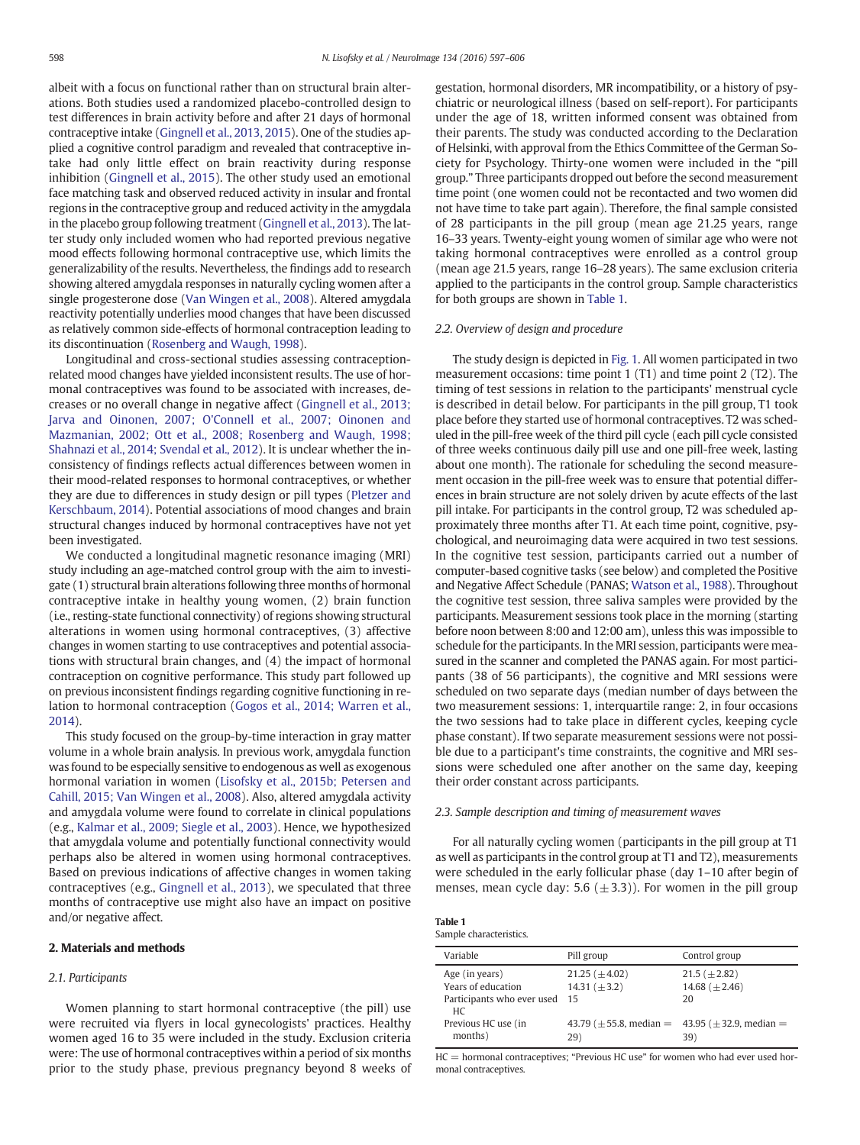albeit with a focus on functional rather than on structural brain alterations. Both studies used a randomized placebo-controlled design to test differences in brain activity before and after 21 days of hormonal contraceptive intake ([Gingnell et al., 2013, 2015](#page-8-0)). One of the studies applied a cognitive control paradigm and revealed that contraceptive intake had only little effect on brain reactivity during response inhibition ([Gingnell et al., 2015\)](#page-8-0). The other study used an emotional face matching task and observed reduced activity in insular and frontal regions in the contraceptive group and reduced activity in the amygdala in the placebo group following treatment [\(Gingnell et al., 2013](#page-8-0)). The latter study only included women who had reported previous negative mood effects following hormonal contraceptive use, which limits the generalizability of the results. Nevertheless, the findings add to research showing altered amygdala responses in naturally cycling women after a single progesterone dose ([Van Wingen et al., 2008](#page-9-0)). Altered amygdala reactivity potentially underlies mood changes that have been discussed as relatively common side-effects of hormonal contraception leading to its discontinuation [\(Rosenberg and Waugh, 1998](#page-9-0)).

Longitudinal and cross-sectional studies assessing contraceptionrelated mood changes have yielded inconsistent results. The use of hormonal contraceptives was found to be associated with increases, decreases or no overall change in negative affect ([Gingnell et al., 2013;](#page-8-0) [Jarva and Oinonen, 2007; O'Connell et al., 2007; Oinonen and](#page-8-0) [Mazmanian, 2002; Ott et al., 2008; Rosenberg and Waugh, 1998;](#page-8-0) [Shahnazi et al., 2014; Svendal et al., 2012\)](#page-8-0). It is unclear whether the inconsistency of findings reflects actual differences between women in their mood-related responses to hormonal contraceptives, or whether they are due to differences in study design or pill types [\(Pletzer and](#page-9-0) [Kerschbaum, 2014](#page-9-0)). Potential associations of mood changes and brain structural changes induced by hormonal contraceptives have not yet been investigated.

We conducted a longitudinal magnetic resonance imaging (MRI) study including an age-matched control group with the aim to investigate (1) structural brain alterations following three months of hormonal contraceptive intake in healthy young women, (2) brain function (i.e., resting-state functional connectivity) of regions showing structural alterations in women using hormonal contraceptives, (3) affective changes in women starting to use contraceptives and potential associations with structural brain changes, and (4) the impact of hormonal contraception on cognitive performance. This study part followed up on previous inconsistent findings regarding cognitive functioning in relation to hormonal contraception [\(Gogos et al., 2014; Warren et al.,](#page-8-0) [2014\)](#page-8-0).

This study focused on the group-by-time interaction in gray matter volume in a whole brain analysis. In previous work, amygdala function was found to be especially sensitive to endogenous as well as exogenous hormonal variation in women ([Lisofsky et al., 2015b; Petersen and](#page-8-0) [Cahill, 2015; Van Wingen et al., 2008](#page-8-0)). Also, altered amygdala activity and amygdala volume were found to correlate in clinical populations (e.g., [Kalmar et al., 2009; Siegle et al., 2003](#page-8-0)). Hence, we hypothesized that amygdala volume and potentially functional connectivity would perhaps also be altered in women using hormonal contraceptives. Based on previous indications of affective changes in women taking contraceptives (e.g., [Gingnell et al., 2013\)](#page-8-0), we speculated that three months of contraceptive use might also have an impact on positive and/or negative affect.

# 2. Materials and methods

# 2.1. Participants

Women planning to start hormonal contraceptive (the pill) use were recruited via flyers in local gynecologists' practices. Healthy women aged 16 to 35 were included in the study. Exclusion criteria were: The use of hormonal contraceptives within a period of six months prior to the study phase, previous pregnancy beyond 8 weeks of gestation, hormonal disorders, MR incompatibility, or a history of psychiatric or neurological illness (based on self-report). For participants under the age of 18, written informed consent was obtained from their parents. The study was conducted according to the Declaration of Helsinki, with approval from the Ethics Committee of the German Society for Psychology. Thirty-one women were included in the "pill group." Three participants dropped out before the second measurement time point (one women could not be recontacted and two women did not have time to take part again). Therefore, the final sample consisted of 28 participants in the pill group (mean age 21.25 years, range 16–33 years. Twenty-eight young women of similar age who were not taking hormonal contraceptives were enrolled as a control group (mean age 21.5 years, range 16–28 years). The same exclusion criteria applied to the participants in the control group. Sample characteristics for both groups are shown in Table 1.

# 2.2. Overview of design and procedure

The study design is depicted in [Fig. 1.](#page-2-0) All women participated in two measurement occasions: time point 1 (T1) and time point 2 (T2). The timing of test sessions in relation to the participants' menstrual cycle is described in detail below. For participants in the pill group, T1 took place before they started use of hormonal contraceptives. T2 was scheduled in the pill-free week of the third pill cycle (each pill cycle consisted of three weeks continuous daily pill use and one pill-free week, lasting about one month). The rationale for scheduling the second measurement occasion in the pill-free week was to ensure that potential differences in brain structure are not solely driven by acute effects of the last pill intake. For participants in the control group, T2 was scheduled approximately three months after T1. At each time point, cognitive, psychological, and neuroimaging data were acquired in two test sessions. In the cognitive test session, participants carried out a number of computer-based cognitive tasks (see below) and completed the Positive and Negative Affect Schedule (PANAS; [Watson et al., 1988](#page-9-0)). Throughout the cognitive test session, three saliva samples were provided by the participants. Measurement sessions took place in the morning (starting before noon between 8:00 and 12:00 am), unless this was impossible to schedule for the participants. In the MRI session, participants were measured in the scanner and completed the PANAS again. For most participants (38 of 56 participants), the cognitive and MRI sessions were scheduled on two separate days (median number of days between the two measurement sessions: 1, interquartile range: 2, in four occasions the two sessions had to take place in different cycles, keeping cycle phase constant). If two separate measurement sessions were not possible due to a participant's time constraints, the cognitive and MRI sessions were scheduled one after another on the same day, keeping their order constant across participants.

# 2.3. Sample description and timing of measurement waves

For all naturally cycling women (participants in the pill group at T1 as well as participants in the control group at T1 and T2), measurements were scheduled in the early follicular phase (day 1–10 after begin of menses, mean cycle day: 5.6 ( $\pm$ 3.3)). For women in the pill group

| <b>Table 1</b>          |  |
|-------------------------|--|
| Sample characteristics. |  |

| Variable                             | Pill group                              | Control group                                                    |
|--------------------------------------|-----------------------------------------|------------------------------------------------------------------|
| Age (in years)<br>Years of education | 21.25 $(\pm 4.02)$<br>14.31 $(\pm 3.2)$ | $21.5 (\pm 2.82)$<br>14.68 $(\pm 2.46)$                          |
| Participants who ever used 15<br>HC. |                                         | 20                                                               |
| Previous HC use (in<br>months)       | 29)                                     | 43.79 ( $\pm$ 55.8, median = 43.95 ( $\pm$ 32.9, median =<br>39) |

HC = hormonal contraceptives; "Previous HC use" for women who had ever used hormonal contraceptives.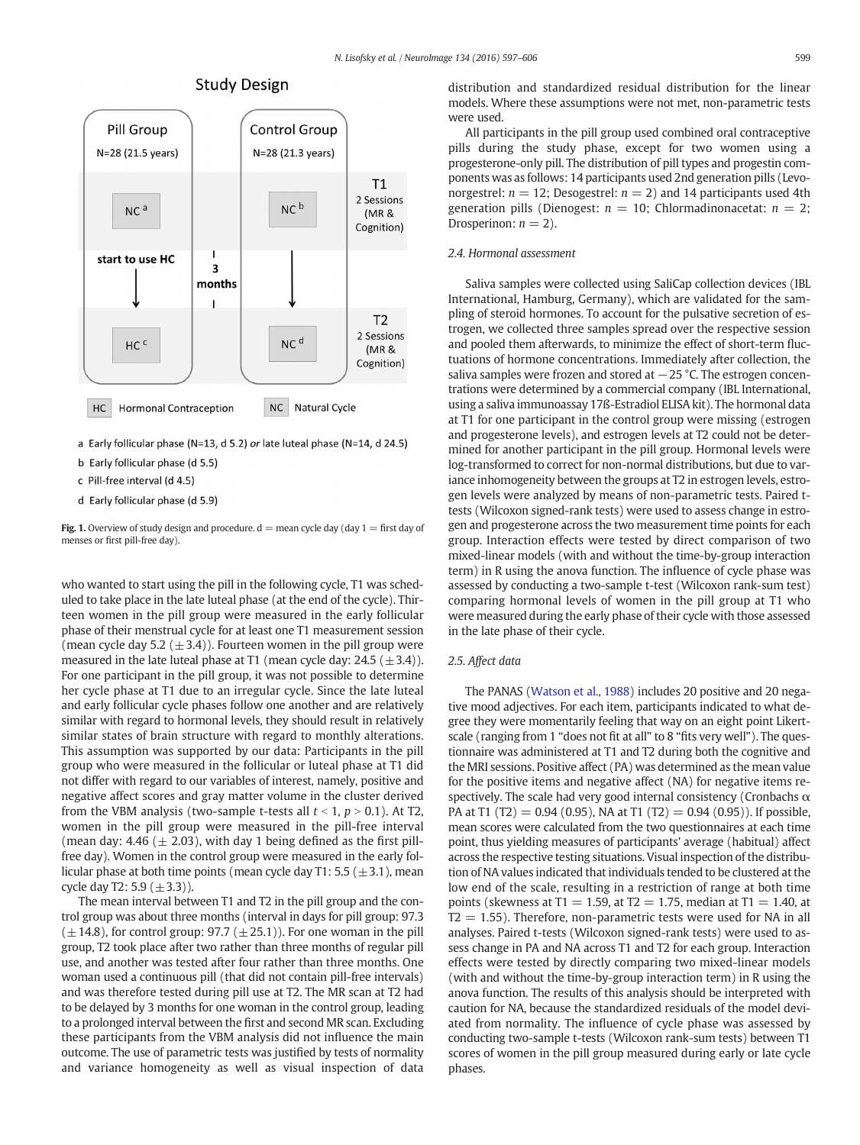<span id="page-2-0"></span>

# **Study Design**

- a Early follicular phase (N=13, d 5.2) or late luteal phase (N=14, d 24.5)
- b Early follicular phase (d 5.5)
- c Pill-free interval (d 4.5)
- d Early follicular phase (d 5.9)

**Fig. 1.** Overview of study design and procedure.  $d =$  mean cycle day (day  $1 =$  first day of menses or first pill-free day).

who wanted to start using the pill in the following cycle, T1 was scheduled to take place in the late luteal phase (at the end of the cycle). Thirteen women in the pill group were measured in the early follicular phase of their menstrual cycle for at least one T1 measurement session (mean cycle day 5.2 ( $\pm$  3.4)). Fourteen women in the pill group were measured in the late luteal phase at T1 (mean cycle day:  $24.5 (+3.4)$ ). For one participant in the pill group, it was not possible to determine her cycle phase at T1 due to an irregular cycle. Since the late luteal and early follicular cycle phases follow one another and are relatively similar with regard to hormonal levels, they should result in relatively similar states of brain structure with regard to monthly alterations. This assumption was supported by our data: Participants in the pill group who were measured in the follicular or luteal phase at T1 did not differ with regard to our variables of interest, namely, positive and negative affect scores and gray matter volume in the cluster derived from the VBM analysis (two-sample t-tests all  $t < 1$ ,  $p > 0.1$ ). At T2, women in the pill group were measured in the pill-free interval (mean day: 4.46 ( $\pm$  2.03), with day 1 being defined as the first pillfree day). Women in the control group were measured in the early follicular phase at both time points (mean cycle day T1: 5.5 ( $\pm$ 3.1), mean cycle day T2: 5.9 ( $\pm$ 3.3)).

The mean interval between T1 and T2 in the pill group and the control group was about three months (interval in days for pill group: 97.3  $(\pm 14.8)$ , for control group: 97.7  $(\pm 25.1)$ ). For one woman in the pill group, T2 took place after two rather than three months of regular pill use, and another was tested after four rather than three months. One woman used a continuous pill (that did not contain pill-free intervals) and was therefore tested during pill use at T2. The MR scan at T2 had to be delayed by 3 months for one woman in the control group, leading to a prolonged interval between the first and second MR scan. Excluding these participants from the VBM analysis did not influence the main outcome. The use of parametric tests was justified by tests of normality and variance homogeneity as well as visual inspection of data distribution and standardized residual distribution for the linear models. Where these assumptions were not met, non-parametric tests were used.

All participants in the pill group used combined oral contraceptive pills during the study phase, except for two women using a progesterone-only pill. The distribution of pill types and progestin components was as follows: 14 participants used 2nd generation pills (Levonorgestrel:  $n = 12$ ; Desogestrel:  $n = 2$ ) and 14 participants used 4th generation pills (Dienogest:  $n = 10$ ; Chlormadinonacetat:  $n = 2$ ; Drosperinon:  $n = 2$ ).

#### 2.4. Hormonal assessment

Saliva samples were collected using SaliCap collection devices (IBL International, Hamburg, Germany), which are validated for the sampling of steroid hormones. To account for the pulsative secretion of estrogen, we collected three samples spread over the respective session and pooled them afterwards, to minimize the effect of short-term fluctuations of hormone concentrations. Immediately after collection, the saliva samples were frozen and stored at  $-25$  °C. The estrogen concentrations were determined by a commercial company (IBL International, using a saliva immunoassay 17ß-Estradiol ELISA kit). The hormonal data at T1 for one participant in the control group were missing (estrogen and progesterone levels), and estrogen levels at T2 could not be determined for another participant in the pill group. Hormonal levels were log-transformed to correct for non-normal distributions, but due to variance inhomogeneity between the groups at T2 in estrogen levels, estrogen levels were analyzed by means of non-parametric tests. Paired ttests (Wilcoxon signed-rank tests) were used to assess change in estrogen and progesterone across the two measurement time points for each group. Interaction effects were tested by direct comparison of two mixed-linear models (with and without the time-by-group interaction term) in R using the anova function. The influence of cycle phase was assessed by conducting a two-sample t-test (Wilcoxon rank-sum test) comparing hormonal levels of women in the pill group at T1 who were measured during the early phase of their cycle with those assessed in the late phase of their cycle.

### 2.5. Affect data

The PANAS ([Watson et al., 1988](#page-9-0)) includes 20 positive and 20 negative mood adjectives. For each item, participants indicated to what degree they were momentarily feeling that way on an eight point Likertscale (ranging from 1 "does not fit at all" to 8 "fits very well"). The questionnaire was administered at T1 and T2 during both the cognitive and the MRI sessions. Positive affect (PA) was determined as the mean value for the positive items and negative affect (NA) for negative items respectively. The scale had very good internal consistency (Cronbachs  $\alpha$ PA at T1 (T2) = 0.94 (0.95), NA at T1 (T2) = 0.94 (0.95)). If possible, mean scores were calculated from the two questionnaires at each time point, thus yielding measures of participants' average (habitual) affect across the respective testing situations. Visual inspection of the distribution of NA values indicated that individuals tended to be clustered at the low end of the scale, resulting in a restriction of range at both time points (skewness at T1 = 1.59, at T2 = 1.75, median at T1 = 1.40, at  $T2 = 1.55$ ). Therefore, non-parametric tests were used for NA in all analyses. Paired t-tests (Wilcoxon signed-rank tests) were used to assess change in PA and NA across T1 and T2 for each group. Interaction effects were tested by directly comparing two mixed-linear models (with and without the time-by-group interaction term) in R using the anova function. The results of this analysis should be interpreted with caution for NA, because the standardized residuals of the model deviated from normality. The influence of cycle phase was assessed by conducting two-sample t-tests (Wilcoxon rank-sum tests) between T1 scores of women in the pill group measured during early or late cycle phases.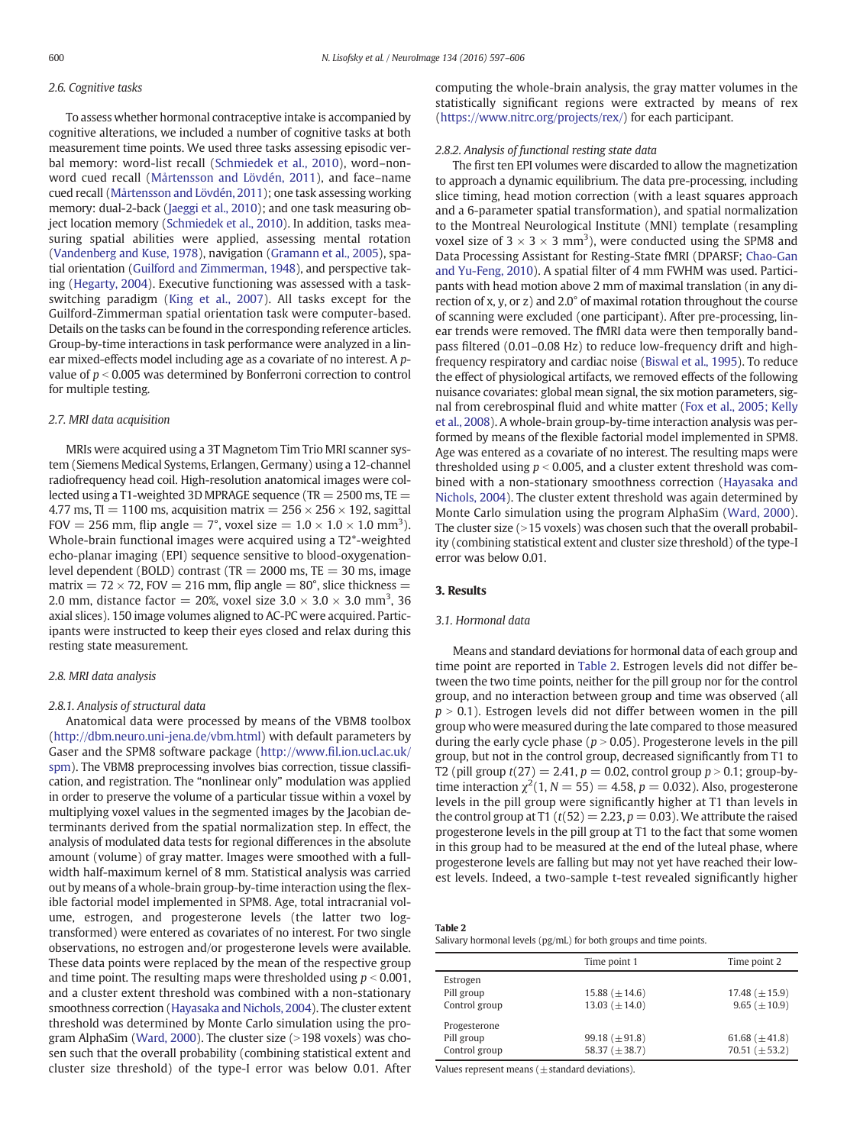# 2.6. Cognitive tasks

To assess whether hormonal contraceptive intake is accompanied by cognitive alterations, we included a number of cognitive tasks at both measurement time points. We used three tasks assessing episodic verbal memory: word-list recall [\(Schmiedek et al., 2010\)](#page-9-0), word–nonword cued recall ([Mårtensson and Lövdén, 2011](#page-9-0)), and face–name cued recall ([Mårtensson and Lövdén, 2011](#page-9-0)); one task assessing working memory: dual-2-back ([Jaeggi et al., 2010](#page-8-0)); and one task measuring object location memory ([Schmiedek et al., 2010\)](#page-9-0). In addition, tasks measuring spatial abilities were applied, assessing mental rotation [\(Vandenberg and Kuse, 1978](#page-9-0)), navigation ([Gramann et al., 2005](#page-8-0)), spatial orientation [\(Guilford and Zimmerman, 1948\)](#page-8-0), and perspective taking [\(Hegarty, 2004](#page-8-0)). Executive functioning was assessed with a taskswitching paradigm [\(King et al., 2007\)](#page-8-0). All tasks except for the Guilford-Zimmerman spatial orientation task were computer-based. Details on the tasks can be found in the corresponding reference articles. Group-by-time interactions in task performance were analyzed in a linear mixed-effects model including age as a covariate of no interest. A pvalue of  $p < 0.005$  was determined by Bonferroni correction to control for multiple testing.

#### 2.7. MRI data acquisition

MRIs were acquired using a 3T Magnetom Tim Trio MRI scanner system (Siemens Medical Systems, Erlangen, Germany) using a 12-channel radiofrequency head coil. High-resolution anatomical images were collected using a T1-weighted 3D MPRAGE sequence (TR  $=$  2500 ms, TE  $=$ 4.77 ms, TI = 1100 ms, acquisition matrix =  $256 \times 256 \times 192$ , sagittal FOV = 256 mm, flip angle =  $7^{\circ}$ , voxel size =  $1.0 \times 1.0 \times 1.0$  mm<sup>3</sup>). Whole-brain functional images were acquired using a T2\*-weighted echo-planar imaging (EPI) sequence sensitive to blood-oxygenationlevel dependent (BOLD) contrast (TR  $=$  2000 ms, TE  $=$  30 ms, image matrix =  $72 \times 72$ , FOV = 216 mm, flip angle =  $80^\circ$ , slice thickness = 2.0 mm, distance factor = 20%, voxel size  $3.0 \times 3.0 \times 3.0$  mm<sup>3</sup>, 36 axial slices). 150 image volumes aligned to AC-PC were acquired. Participants were instructed to keep their eyes closed and relax during this resting state measurement.

#### 2.8. MRI data analysis

#### 2.8.1. Analysis of structural data

Anatomical data were processed by means of the VBM8 toolbox [\(http://dbm.neuro.uni-jena.de/vbm.html\)](http://dbm.neuro.uni-jena.de/vbm.html) with default parameters by Gaser and the SPM8 software package (http://www.fi[l.ion.ucl.ac.uk/](http://www.fil.ion.ucl.ac.uk/spm) [spm\)](http://www.fil.ion.ucl.ac.uk/spm). The VBM8 preprocessing involves bias correction, tissue classification, and registration. The "nonlinear only" modulation was applied in order to preserve the volume of a particular tissue within a voxel by multiplying voxel values in the segmented images by the Jacobian determinants derived from the spatial normalization step. In effect, the analysis of modulated data tests for regional differences in the absolute amount (volume) of gray matter. Images were smoothed with a fullwidth half-maximum kernel of 8 mm. Statistical analysis was carried out by means of a whole-brain group-by-time interaction using the flexible factorial model implemented in SPM8. Age, total intracranial volume, estrogen, and progesterone levels (the latter two logtransformed) were entered as covariates of no interest. For two single observations, no estrogen and/or progesterone levels were available. These data points were replaced by the mean of the respective group and time point. The resulting maps were thresholded using  $p < 0.001$ , and a cluster extent threshold was combined with a non-stationary smoothness correction ([Hayasaka and Nichols, 2004\)](#page-8-0). The cluster extent threshold was determined by Monte Carlo simulation using the pro-gram AlphaSim [\(Ward, 2000\)](#page-9-0). The cluster size  $(>198$  voxels) was chosen such that the overall probability (combining statistical extent and cluster size threshold) of the type-I error was below 0.01. After

computing the whole-brain analysis, the gray matter volumes in the statistically significant regions were extracted by means of rex [\(https://www.nitrc.org/projects/rex/](https://www.nitrc.org/projects/rex/)) for each participant.

#### 2.8.2. Analysis of functional resting state data

The first ten EPI volumes were discarded to allow the magnetization to approach a dynamic equilibrium. The data pre-processing, including slice timing, head motion correction (with a least squares approach and a 6-parameter spatial transformation), and spatial normalization to the Montreal Neurological Institute (MNI) template (resampling voxel size of  $3 \times 3 \times 3$  mm<sup>3</sup>), were conducted using the SPM8 and Data Processing Assistant for Resting-State fMRI (DPARSF; [Chao-Gan](#page-8-0) [and Yu-Feng, 2010](#page-8-0)). A spatial filter of 4 mm FWHM was used. Participants with head motion above 2 mm of maximal translation (in any direction of x, y, or z) and 2.0° of maximal rotation throughout the course of scanning were excluded (one participant). After pre-processing, linear trends were removed. The fMRI data were then temporally bandpass filtered (0.01–0.08 Hz) to reduce low-frequency drift and highfrequency respiratory and cardiac noise [\(Biswal et al., 1995\)](#page-8-0). To reduce the effect of physiological artifacts, we removed effects of the following nuisance covariates: global mean signal, the six motion parameters, signal from cerebrospinal fluid and white matter ([Fox et al., 2005; Kelly](#page-8-0) [et al., 2008](#page-8-0)). A whole-brain group-by-time interaction analysis was performed by means of the flexible factorial model implemented in SPM8. Age was entered as a covariate of no interest. The resulting maps were thresholded using  $p < 0.005$ , and a cluster extent threshold was combined with a non-stationary smoothness correction [\(Hayasaka and](#page-8-0) [Nichols, 2004](#page-8-0)). The cluster extent threshold was again determined by Monte Carlo simulation using the program AlphaSim ([Ward, 2000](#page-9-0)). The cluster size  $(>15$  voxels) was chosen such that the overall probability (combining statistical extent and cluster size threshold) of the type-I error was below 0.01.

# 3. Results

#### 3.1. Hormonal data

Means and standard deviations for hormonal data of each group and time point are reported in Table 2. Estrogen levels did not differ between the two time points, neither for the pill group nor for the control group, and no interaction between group and time was observed (all  $p > 0.1$ ). Estrogen levels did not differ between women in the pill group who were measured during the late compared to those measured during the early cycle phase ( $p > 0.05$ ). Progesterone levels in the pill group, but not in the control group, decreased significantly from T1 to T2 (pill group  $t(27) = 2.41$ ,  $p = 0.02$ , control group  $p > 0.1$ ; group-bytime interaction  $\chi^2(1, N = 55) = 4.58$ ,  $p = 0.032$ ). Also, progesterone levels in the pill group were significantly higher at T1 than levels in the control group at T1 ( $t(52) = 2.23$ ,  $p = 0.03$ ). We attribute the raised progesterone levels in the pill group at T1 to the fact that some women in this group had to be measured at the end of the luteal phase, where progesterone levels are falling but may not yet have reached their lowest levels. Indeed, a two-sample t-test revealed significantly higher

| Table 2                                                           |  |
|-------------------------------------------------------------------|--|
| Salivary hormonal levels (pg/mL) for both groups and time points. |  |

|                                             | Time point 1                              | Time point 2                              |
|---------------------------------------------|-------------------------------------------|-------------------------------------------|
| Estrogen<br>Pill group<br>Control group     | 15.88 $(\pm 14.6)$<br>13.03 ( $\pm$ 14.0) | 17.48 $(\pm 15.9)$<br>$9.65 \ (\pm 10.9)$ |
| Progesterone<br>Pill group<br>Control group | 99.18 $(\pm 91.8)$<br>58.37 ( $\pm$ 38.7) | 61.68 $(\pm 41.8)$<br>70.51 ( $\pm$ 53.2) |

Values represent means ( $\pm$  standard deviations).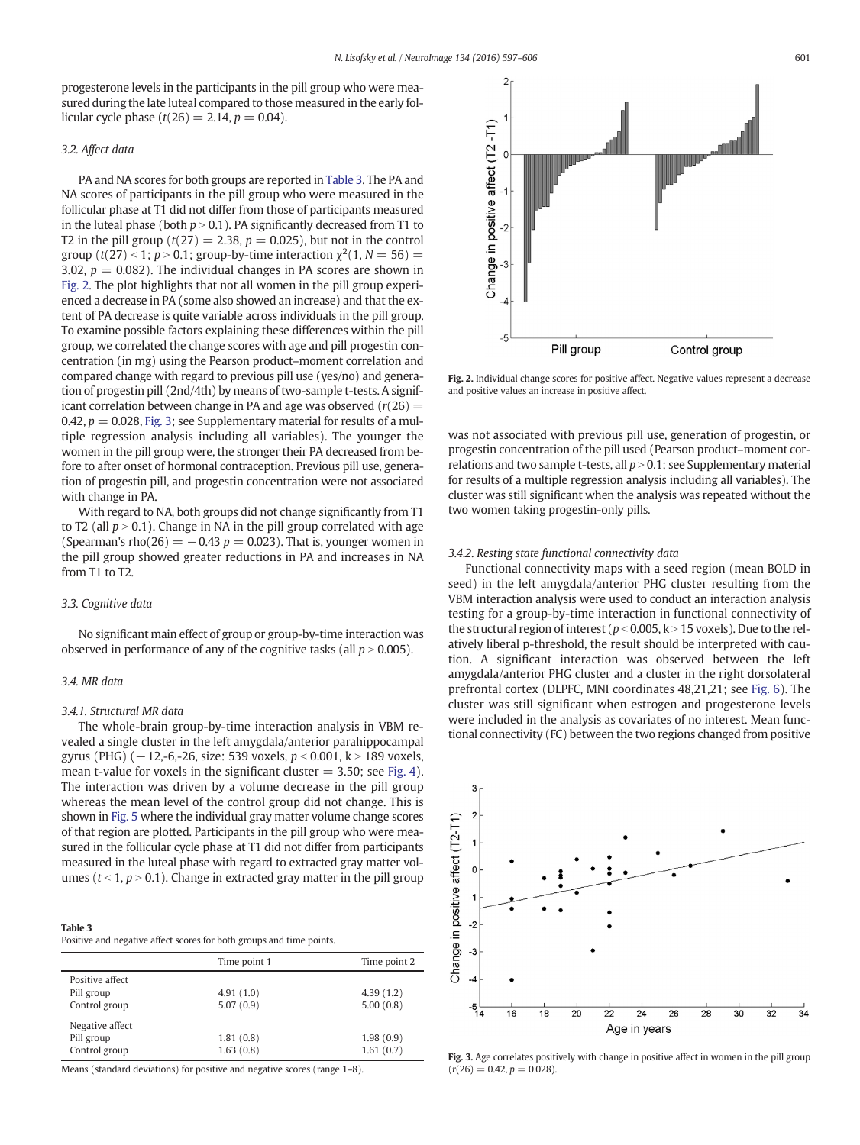progesterone levels in the participants in the pill group who were measured during the late luteal compared to those measured in the early follicular cycle phase  $(t(26) = 2.14, p = 0.04)$ .

# 3.2. Affect data

PA and NA scores for both groups are reported in Table 3. The PA and NA scores of participants in the pill group who were measured in the follicular phase at T1 did not differ from those of participants measured in the luteal phase (both  $p > 0.1$ ). PA significantly decreased from T1 to T2 in the pill group  $(t(27) = 2.38, p = 0.025)$ , but not in the control group (t(27) < 1; p > 0.1; group-by-time interaction  $\chi^2(1, N = 56)$  = 3.02,  $p = 0.082$ ). The individual changes in PA scores are shown in Fig. 2. The plot highlights that not all women in the pill group experienced a decrease in PA (some also showed an increase) and that the extent of PA decrease is quite variable across individuals in the pill group. To examine possible factors explaining these differences within the pill group, we correlated the change scores with age and pill progestin concentration (in mg) using the Pearson product–moment correlation and compared change with regard to previous pill use (yes/no) and generation of progestin pill (2nd/4th) by means of two-sample t-tests. A significant correlation between change in PA and age was observed  $(r(26) =$ 0.42,  $p = 0.028$ , Fig. 3; see Supplementary material for results of a multiple regression analysis including all variables). The younger the women in the pill group were, the stronger their PA decreased from before to after onset of hormonal contraception. Previous pill use, generation of progestin pill, and progestin concentration were not associated with change in PA.

With regard to NA, both groups did not change significantly from T1 to T2 (all  $p > 0.1$ ). Change in NA in the pill group correlated with age (Spearman's rho(26)  $= -0.43$  p  $= 0.023$ ). That is, younger women in the pill group showed greater reductions in PA and increases in NA from T1 to T2.

# 3.3. Cognitive data

No significant main effect of group or group-by-time interaction was observed in performance of any of the cognitive tasks (all  $p > 0.005$ ).

# 3.4. MR data

#### 3.4.1. Structural MR data

The whole-brain group-by-time interaction analysis in VBM revealed a single cluster in the left amygdala/anterior parahippocampal gyrus (PHG) ( $-12,-6,-26$ , size: 539 voxels,  $p < 0.001$ , k > 189 voxels, mean t-value for voxels in the significant cluster  $=$  3.50; see [Fig. 4](#page-5-0)). The interaction was driven by a volume decrease in the pill group whereas the mean level of the control group did not change. This is shown in [Fig. 5](#page-5-0) where the individual gray matter volume change scores of that region are plotted. Participants in the pill group who were measured in the follicular cycle phase at T1 did not differ from participants measured in the luteal phase with regard to extracted gray matter volumes ( $t < 1$ ,  $p > 0.1$ ). Change in extracted gray matter in the pill group



Positive and negative affect scores for both groups and time points.

|                                                | Time point 1           | Time point 2           |
|------------------------------------------------|------------------------|------------------------|
| Positive affect<br>Pill group<br>Control group | 4.91(1.0)<br>5.07(0.9) | 4.39(1.2)<br>5.00(0.8) |
| Negative affect<br>Pill group<br>Control group | 1.81(0.8)<br>1.63(0.8) | 1.98(0.9)<br>1.61(0.7) |

Means (standard deviations) for positive and negative scores (range 1–8).



Fig. 2. Individual change scores for positive affect. Negative values represent a decrease and positive values an increase in positive affect.

was not associated with previous pill use, generation of progestin, or progestin concentration of the pill used (Pearson product–moment correlations and two sample t-tests, all  $p > 0.1$ ; see Supplementary material for results of a multiple regression analysis including all variables). The cluster was still significant when the analysis was repeated without the two women taking progestin-only pills.

# 3.4.2. Resting state functional connectivity data

Functional connectivity maps with a seed region (mean BOLD in seed) in the left amygdala/anterior PHG cluster resulting from the VBM interaction analysis were used to conduct an interaction analysis testing for a group-by-time interaction in functional connectivity of the structural region of interest ( $p < 0.005$ ,  $k > 15$  voxels). Due to the relatively liberal p-threshold, the result should be interpreted with caution. A significant interaction was observed between the left amygdala/anterior PHG cluster and a cluster in the right dorsolateral prefrontal cortex (DLPFC, MNI coordinates 48,21,21; see [Fig. 6](#page-6-0)). The cluster was still significant when estrogen and progesterone levels were included in the analysis as covariates of no interest. Mean functional connectivity (FC) between the two regions changed from positive



Fig. 3. Age correlates positively with change in positive affect in women in the pill group  $(r(26) = 0.42, p = 0.028)$ .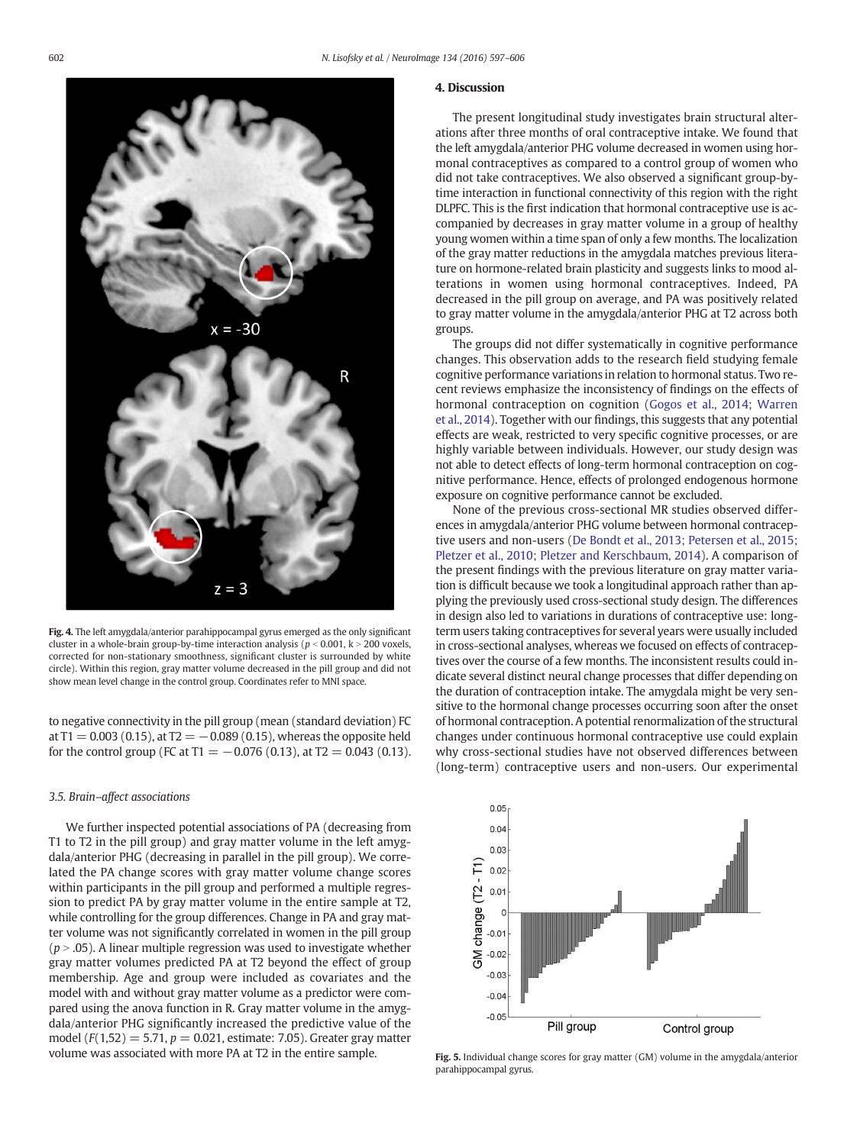<span id="page-5-0"></span>

Fig. 4. The left amygdala/anterior parahippocampal gyrus emerged as the only significant cluster in a whole-brain group-by-time interaction analysis ( $p < 0.001$ , k > 200 voxels, corrected for non-stationary smoothness, significant cluster is surrounded by white circle). Within this region, gray matter volume decreased in the pill group and did not show mean level change in the control group. Coordinates refer to MNI space.

to negative connectivity in the pill group (mean (standard deviation) FC at  $T1 = 0.003$  (0.15), at  $T2 = -0.089$  (0.15), whereas the opposite held for the control group (FC at T1 =  $-0.076$  (0.13), at T2 = 0.043 (0.13).

# 3.5. Brain–affect associations

We further inspected potential associations of PA (decreasing from T1 to T2 in the pill group) and gray matter volume in the left amygdala/anterior PHG (decreasing in parallel in the pill group). We correlated the PA change scores with gray matter volume change scores within participants in the pill group and performed a multiple regression to predict PA by gray matter volume in the entire sample at T2, while controlling for the group differences. Change in PA and gray matter volume was not significantly correlated in women in the pill group  $(p > .05)$ . A linear multiple regression was used to investigate whether gray matter volumes predicted PA at T2 beyond the effect of group membership. Age and group were included as covariates and the model with and without gray matter volume as a predictor were compared using the anova function in R. Gray matter volume in the amygdala/anterior PHG significantly increased the predictive value of the model ( $F(1,52) = 5.71$ ,  $p = 0.021$ , estimate: 7.05). Greater gray matter volume was associated with more PA at T2 in the entire sample.

# 4. Discussion

The present longitudinal study investigates brain structural alterations after three months of oral contraceptive intake. We found that the left amygdala/anterior PHG volume decreased in women using hormonal contraceptives as compared to a control group of women who did not take contraceptives. We also observed a significant group-bytime interaction in functional connectivity of this region with the right DLPFC. This is the first indication that hormonal contraceptive use is accompanied by decreases in gray matter volume in a group of healthy young women within a time span of only a few months. The localization of the gray matter reductions in the amygdala matches previous literature on hormone-related brain plasticity and suggests links to mood alterations in women using hormonal contraceptives. Indeed, PA decreased in the pill group on average, and PA was positively related to gray matter volume in the amygdala/anterior PHG at T2 across both groups.

The groups did not differ systematically in cognitive performance changes. This observation adds to the research field studying female cognitive performance variations in relation to hormonal status. Two recent reviews emphasize the inconsistency of findings on the effects of hormonal contraception on cognition ([Gogos et al., 2014; Warren](#page-8-0) [et al., 2014](#page-8-0)). Together with our findings, this suggests that any potential effects are weak, restricted to very specific cognitive processes, or are highly variable between individuals. However, our study design was not able to detect effects of long-term hormonal contraception on cognitive performance. Hence, effects of prolonged endogenous hormone exposure on cognitive performance cannot be excluded.

None of the previous cross-sectional MR studies observed differences in amygdala/anterior PHG volume between hormonal contraceptive users and non-users ([De Bondt et al., 2013; Petersen et al., 2015;](#page-8-0) [Pletzer et al., 2010; Pletzer and Kerschbaum, 2014\)](#page-8-0). A comparison of the present findings with the previous literature on gray matter variation is difficult because we took a longitudinal approach rather than applying the previously used cross-sectional study design. The differences in design also led to variations in durations of contraceptive use: longterm users taking contraceptives for several years were usually included in cross-sectional analyses, whereas we focused on effects of contraceptives over the course of a few months. The inconsistent results could indicate several distinct neural change processes that differ depending on the duration of contraception intake. The amygdala might be very sensitive to the hormonal change processes occurring soon after the onset of hormonal contraception. A potential renormalization of the structural changes under continuous hormonal contraceptive use could explain why cross-sectional studies have not observed differences between (long-term) contraceptive users and non-users. Our experimental



Fig. 5. Individual change scores for gray matter (GM) volume in the amygdala/anterior parahippocampal gyrus.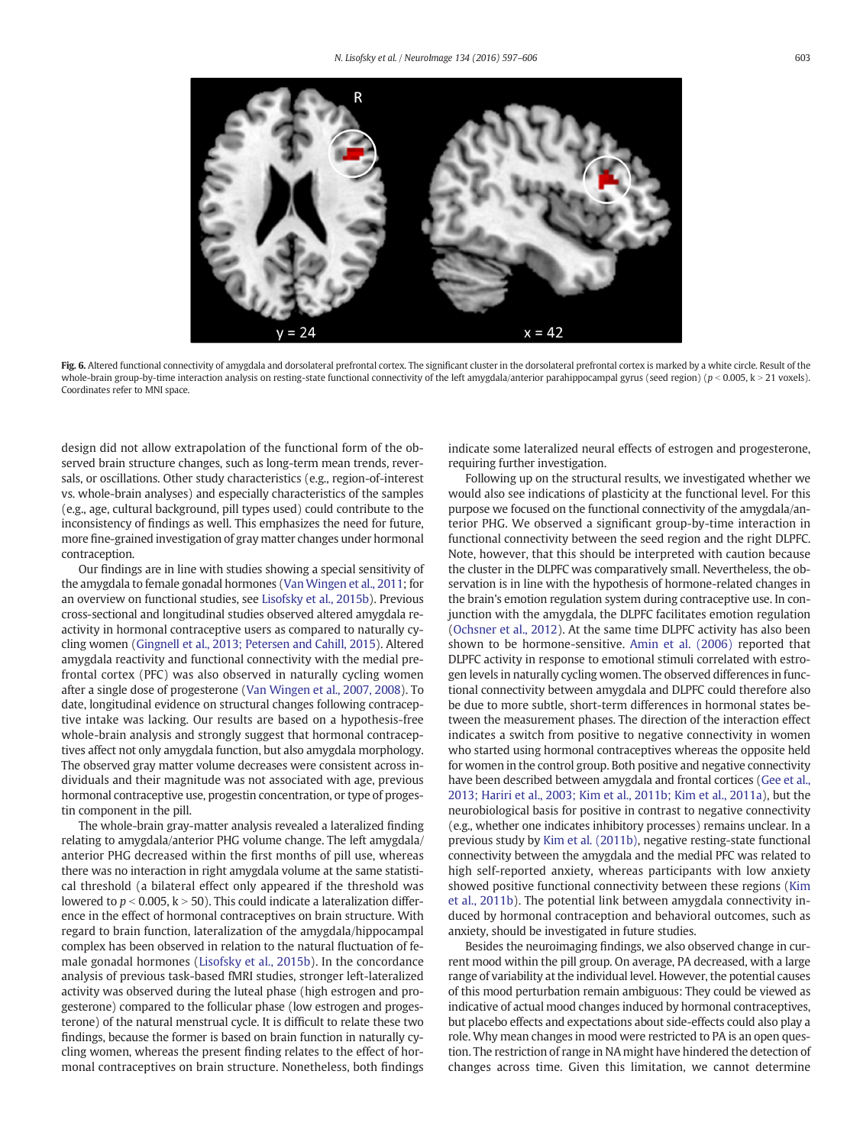<span id="page-6-0"></span>

Fig. 6. Altered functional connectivity of amygdala and dorsolateral prefrontal cortex. The significant cluster in the dorsolateral prefrontal cortex is marked by a white circle. Result of the whole-brain group-by-time interaction analysis on resting-state functional connectivity of the left amygdala/anterior parahippocampal gyrus (seed region) ( $p < 0.005$ ,  $k > 21$  voxels). Coordinates refer to MNI space.

design did not allow extrapolation of the functional form of the observed brain structure changes, such as long-term mean trends, reversals, or oscillations. Other study characteristics (e.g., region-of-interest vs. whole-brain analyses) and especially characteristics of the samples (e.g., age, cultural background, pill types used) could contribute to the inconsistency of findings as well. This emphasizes the need for future, more fine-grained investigation of gray matter changes under hormonal contraception.

Our findings are in line with studies showing a special sensitivity of the amygdala to female gonadal hormones ([Van Wingen et al., 2011](#page-9-0); for an overview on functional studies, see [Lisofsky et al., 2015b\)](#page-8-0). Previous cross-sectional and longitudinal studies observed altered amygdala reactivity in hormonal contraceptive users as compared to naturally cycling women [\(Gingnell et al., 2013; Petersen and Cahill, 2015](#page-8-0)). Altered amygdala reactivity and functional connectivity with the medial prefrontal cortex (PFC) was also observed in naturally cycling women after a single dose of progesterone ([Van Wingen et al., 2007, 2008](#page-9-0)). To date, longitudinal evidence on structural changes following contraceptive intake was lacking. Our results are based on a hypothesis-free whole-brain analysis and strongly suggest that hormonal contraceptives affect not only amygdala function, but also amygdala morphology. The observed gray matter volume decreases were consistent across individuals and their magnitude was not associated with age, previous hormonal contraceptive use, progestin concentration, or type of progestin component in the pill.

The whole-brain gray-matter analysis revealed a lateralized finding relating to amygdala/anterior PHG volume change. The left amygdala/ anterior PHG decreased within the first months of pill use, whereas there was no interaction in right amygdala volume at the same statistical threshold (a bilateral effect only appeared if the threshold was lowered to  $p < 0.005$ ,  $k > 50$ ). This could indicate a lateralization difference in the effect of hormonal contraceptives on brain structure. With regard to brain function, lateralization of the amygdala/hippocampal complex has been observed in relation to the natural fluctuation of female gonadal hormones ([Lisofsky et al., 2015b](#page-8-0)). In the concordance analysis of previous task-based fMRI studies, stronger left-lateralized activity was observed during the luteal phase (high estrogen and progesterone) compared to the follicular phase (low estrogen and progesterone) of the natural menstrual cycle. It is difficult to relate these two findings, because the former is based on brain function in naturally cycling women, whereas the present finding relates to the effect of hormonal contraceptives on brain structure. Nonetheless, both findings

indicate some lateralized neural effects of estrogen and progesterone, requiring further investigation.

Following up on the structural results, we investigated whether we would also see indications of plasticity at the functional level. For this purpose we focused on the functional connectivity of the amygdala/anterior PHG. We observed a significant group-by-time interaction in functional connectivity between the seed region and the right DLPFC. Note, however, that this should be interpreted with caution because the cluster in the DLPFC was comparatively small. Nevertheless, the observation is in line with the hypothesis of hormone-related changes in the brain's emotion regulation system during contraceptive use. In conjunction with the amygdala, the DLPFC facilitates emotion regulation [\(Ochsner et al., 2012](#page-9-0)). At the same time DLPFC activity has also been shown to be hormone-sensitive. [Amin et al. \(2006\)](#page-8-0) reported that DLPFC activity in response to emotional stimuli correlated with estrogen levels in naturally cycling women. The observed differences in functional connectivity between amygdala and DLPFC could therefore also be due to more subtle, short-term differences in hormonal states between the measurement phases. The direction of the interaction effect indicates a switch from positive to negative connectivity in women who started using hormonal contraceptives whereas the opposite held for women in the control group. Both positive and negative connectivity have been described between amygdala and frontal cortices [\(Gee et al.,](#page-8-0) [2013; Hariri et al., 2003; Kim et al., 2011b; Kim et al., 2011a\)](#page-8-0), but the neurobiological basis for positive in contrast to negative connectivity (e.g., whether one indicates inhibitory processes) remains unclear. In a previous study by [Kim et al. \(2011b\),](#page-8-0) negative resting-state functional connectivity between the amygdala and the medial PFC was related to high self-reported anxiety, whereas participants with low anxiety showed positive functional connectivity between these regions ([Kim](#page-8-0) [et al., 2011b\)](#page-8-0). The potential link between amygdala connectivity induced by hormonal contraception and behavioral outcomes, such as anxiety, should be investigated in future studies.

Besides the neuroimaging findings, we also observed change in current mood within the pill group. On average, PA decreased, with a large range of variability at the individual level. However, the potential causes of this mood perturbation remain ambiguous: They could be viewed as indicative of actual mood changes induced by hormonal contraceptives, but placebo effects and expectations about side-effects could also play a role. Why mean changes in mood were restricted to PA is an open question. The restriction of range in NA might have hindered the detection of changes across time. Given this limitation, we cannot determine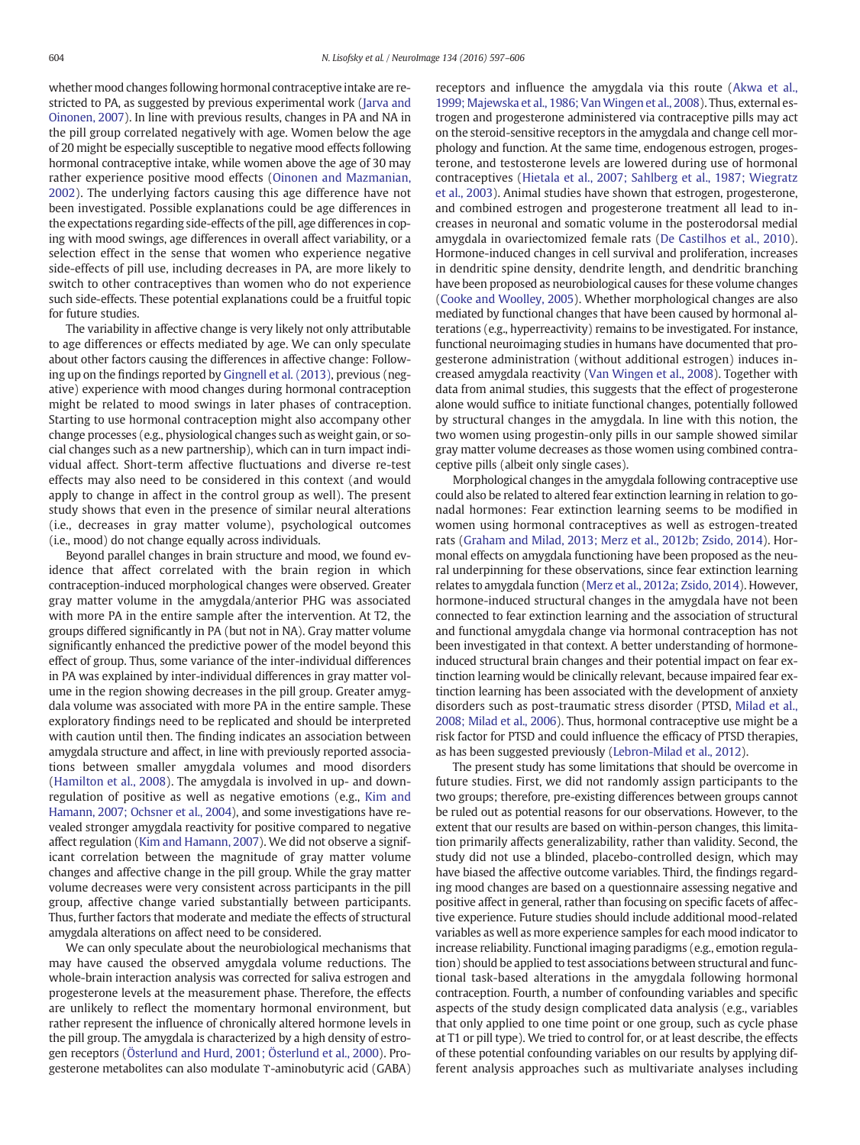whether mood changes following hormonal contraceptive intake are restricted to PA, as suggested by previous experimental work [\(Jarva and](#page-8-0) [Oinonen, 2007](#page-8-0)). In line with previous results, changes in PA and NA in the pill group correlated negatively with age. Women below the age of 20 might be especially susceptible to negative mood effects following hormonal contraceptive intake, while women above the age of 30 may rather experience positive mood effects ([Oinonen and Mazmanian,](#page-9-0) [2002](#page-9-0)). The underlying factors causing this age difference have not been investigated. Possible explanations could be age differences in the expectations regarding side-effects of the pill, age differences in coping with mood swings, age differences in overall affect variability, or a selection effect in the sense that women who experience negative side-effects of pill use, including decreases in PA, are more likely to switch to other contraceptives than women who do not experience such side-effects. These potential explanations could be a fruitful topic for future studies.

The variability in affective change is very likely not only attributable to age differences or effects mediated by age. We can only speculate about other factors causing the differences in affective change: Following up on the findings reported by [Gingnell et al. \(2013\)](#page-8-0), previous (negative) experience with mood changes during hormonal contraception might be related to mood swings in later phases of contraception. Starting to use hormonal contraception might also accompany other change processes (e.g., physiological changes such as weight gain, or social changes such as a new partnership), which can in turn impact individual affect. Short-term affective fluctuations and diverse re-test effects may also need to be considered in this context (and would apply to change in affect in the control group as well). The present study shows that even in the presence of similar neural alterations (i.e., decreases in gray matter volume), psychological outcomes (i.e., mood) do not change equally across individuals.

Beyond parallel changes in brain structure and mood, we found evidence that affect correlated with the brain region in which contraception-induced morphological changes were observed. Greater gray matter volume in the amygdala/anterior PHG was associated with more PA in the entire sample after the intervention. At T2, the groups differed significantly in PA (but not in NA). Gray matter volume significantly enhanced the predictive power of the model beyond this effect of group. Thus, some variance of the inter-individual differences in PA was explained by inter-individual differences in gray matter volume in the region showing decreases in the pill group. Greater amygdala volume was associated with more PA in the entire sample. These exploratory findings need to be replicated and should be interpreted with caution until then. The finding indicates an association between amygdala structure and affect, in line with previously reported associations between smaller amygdala volumes and mood disorders [\(Hamilton et al., 2008\)](#page-8-0). The amygdala is involved in up- and downregulation of positive as well as negative emotions (e.g., [Kim and](#page-8-0) [Hamann, 2007; Ochsner et al., 2004](#page-8-0)), and some investigations have revealed stronger amygdala reactivity for positive compared to negative affect regulation [\(Kim and Hamann, 2007](#page-8-0)). We did not observe a significant correlation between the magnitude of gray matter volume changes and affective change in the pill group. While the gray matter volume decreases were very consistent across participants in the pill group, affective change varied substantially between participants. Thus, further factors that moderate and mediate the effects of structural amygdala alterations on affect need to be considered.

We can only speculate about the neurobiological mechanisms that may have caused the observed amygdala volume reductions. The whole-brain interaction analysis was corrected for saliva estrogen and progesterone levels at the measurement phase. Therefore, the effects are unlikely to reflect the momentary hormonal environment, but rather represent the influence of chronically altered hormone levels in the pill group. The amygdala is characterized by a high density of estrogen receptors [\(Österlund and Hurd, 2001; Österlund et al., 2000](#page-9-0)). Progesterone metabolites can also modulate Υ-aminobutyric acid (GABA) receptors and influence the amygdala via this route ([Akwa et al.,](#page-8-0) [1999; Majewska et al., 1986; Van Wingen et al., 2008\)](#page-8-0). Thus, external estrogen and progesterone administered via contraceptive pills may act on the steroid-sensitive receptors in the amygdala and change cell morphology and function. At the same time, endogenous estrogen, progesterone, and testosterone levels are lowered during use of hormonal contraceptives ([Hietala et al., 2007; Sahlberg et al., 1987; Wiegratz](#page-8-0) [et al., 2003](#page-8-0)). Animal studies have shown that estrogen, progesterone, and combined estrogen and progesterone treatment all lead to increases in neuronal and somatic volume in the posterodorsal medial amygdala in ovariectomized female rats ([De Castilhos et al., 2010](#page-8-0)). Hormone-induced changes in cell survival and proliferation, increases in dendritic spine density, dendrite length, and dendritic branching have been proposed as neurobiological causes for these volume changes [\(Cooke and Woolley, 2005](#page-8-0)). Whether morphological changes are also mediated by functional changes that have been caused by hormonal alterations (e.g., hyperreactivity) remains to be investigated. For instance, functional neuroimaging studies in humans have documented that progesterone administration (without additional estrogen) induces increased amygdala reactivity ([Van Wingen et al., 2008](#page-9-0)). Together with data from animal studies, this suggests that the effect of progesterone alone would suffice to initiate functional changes, potentially followed by structural changes in the amygdala. In line with this notion, the two women using progestin-only pills in our sample showed similar gray matter volume decreases as those women using combined contraceptive pills (albeit only single cases).

Morphological changes in the amygdala following contraceptive use could also be related to altered fear extinction learning in relation to gonadal hormones: Fear extinction learning seems to be modified in women using hormonal contraceptives as well as estrogen-treated rats [\(Graham and Milad, 2013; Merz et al., 2012b; Zsido, 2014](#page-8-0)). Hormonal effects on amygdala functioning have been proposed as the neural underpinning for these observations, since fear extinction learning relates to amygdala function [\(Merz et al., 2012a; Zsido, 2014\)](#page-9-0). However, hormone-induced structural changes in the amygdala have not been connected to fear extinction learning and the association of structural and functional amygdala change via hormonal contraception has not been investigated in that context. A better understanding of hormoneinduced structural brain changes and their potential impact on fear extinction learning would be clinically relevant, because impaired fear extinction learning has been associated with the development of anxiety disorders such as post-traumatic stress disorder (PTSD, [Milad et al.,](#page-9-0) [2008; Milad et al., 2006](#page-9-0)). Thus, hormonal contraceptive use might be a risk factor for PTSD and could influence the efficacy of PTSD therapies, as has been suggested previously ([Lebron-Milad et al., 2012](#page-8-0)).

The present study has some limitations that should be overcome in future studies. First, we did not randomly assign participants to the two groups; therefore, pre-existing differences between groups cannot be ruled out as potential reasons for our observations. However, to the extent that our results are based on within-person changes, this limitation primarily affects generalizability, rather than validity. Second, the study did not use a blinded, placebo-controlled design, which may have biased the affective outcome variables. Third, the findings regarding mood changes are based on a questionnaire assessing negative and positive affect in general, rather than focusing on specific facets of affective experience. Future studies should include additional mood-related variables as well as more experience samples for each mood indicator to increase reliability. Functional imaging paradigms (e.g., emotion regulation) should be applied to test associations between structural and functional task-based alterations in the amygdala following hormonal contraception. Fourth, a number of confounding variables and specific aspects of the study design complicated data analysis (e.g., variables that only applied to one time point or one group, such as cycle phase at T1 or pill type). We tried to control for, or at least describe, the effects of these potential confounding variables on our results by applying different analysis approaches such as multivariate analyses including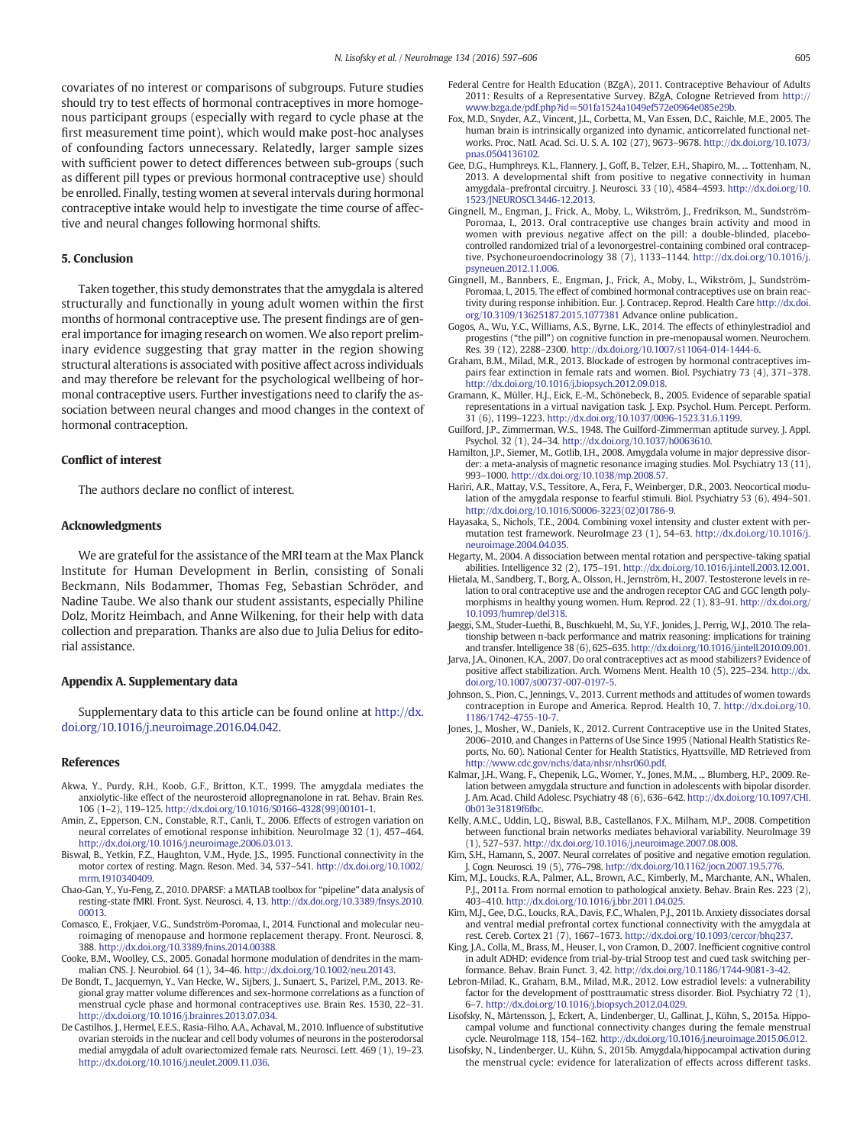<span id="page-8-0"></span>covariates of no interest or comparisons of subgroups. Future studies should try to test effects of hormonal contraceptives in more homogenous participant groups (especially with regard to cycle phase at the first measurement time point), which would make post-hoc analyses of confounding factors unnecessary. Relatedly, larger sample sizes with sufficient power to detect differences between sub-groups (such as different pill types or previous hormonal contraceptive use) should be enrolled. Finally, testing women at several intervals during hormonal contraceptive intake would help to investigate the time course of affective and neural changes following hormonal shifts.

# 5. Conclusion

Taken together, this study demonstrates that the amygdala is altered structurally and functionally in young adult women within the first months of hormonal contraceptive use. The present findings are of general importance for imaging research on women.We also report preliminary evidence suggesting that gray matter in the region showing structural alterations is associated with positive affect across individuals and may therefore be relevant for the psychological wellbeing of hormonal contraceptive users. Further investigations need to clarify the association between neural changes and mood changes in the context of hormonal contraception.

# Conflict of interest

The authors declare no conflict of interest.

# Acknowledgments

We are grateful for the assistance of the MRI team at the Max Planck Institute for Human Development in Berlin, consisting of Sonali Beckmann, Nils Bodammer, Thomas Feg, Sebastian Schröder, and Nadine Taube. We also thank our student assistants, especially Philine Dolz, Moritz Heimbach, and Anne Wilkening, for their help with data collection and preparation. Thanks are also due to Julia Delius for editorial assistance.

# Appendix A. Supplementary data

Supplementary data to this article can be found online at [http://dx.](doi:10.1016/j.neuroimage.2016.04.042) [doi.org/10.1016/j.neuroimage.2016.04.042.](doi:10.1016/j.neuroimage.2016.04.042)

#### References

- Akwa, Y., Purdy, R.H., Koob, G.F., Britton, K.T., 1999. The amygdala mediates the anxiolytic-like effect of the neurosteroid allopregnanolone in rat. Behav. Brain Res. 106 (1–2), 119–125. http://dx.doi.org[/10.1016/S0166-4328\(99\)00101-1.](http://dx.doi.org/10.1016/S0166-4328(99)00101-1)
- Amin, Z., Epperson, C.N., Constable, R.T., Canli, T., 2006. Effects of estrogen variation on neural correlates of emotional response inhibition. NeuroImage 32 (1), 457–464. http://dx.doi.org[/10.1016/j.neuroimage.2006.03.013](http://dx.doi.org/10.1016/j.neuroimage.2006.03.013).
- Biswal, B., Yetkin, F.Z., Haughton, V.M., Hyde, J.S., 1995. Functional connectivity in the motor cortex of resting. Magn. Reson. Med. 34, 537–541. http://dx.doi.org[/10.1002/](http://dx.doi.org/10.1002/mrm.1910340409) [mrm.1910340409](http://dx.doi.org/10.1002/mrm.1910340409).
- Chao-Gan, Y., Yu-Feng, Z., 2010. DPARSF: a MATLAB toolbox for "pipeline" data analysis of resting-state fMRI. Front. Syst. Neurosci. 4, 13. http://dx.doi.org[/10.3389/fnsys.2010.](http://dx.doi.org/10.3389/fnsys.2010.00013) [00013](http://dx.doi.org/10.3389/fnsys.2010.00013).
- Comasco, E., Frokjaer, V.G., Sundström-Poromaa, I., 2014. Functional and molecular neuroimaging of menopause and hormone replacement therapy. Front. Neurosci. 8, 388. http://dx.doi.org[/10.3389/fnins.2014.00388.](http://dx.doi.org/10.3389/fnins.2014.00388)
- Cooke, B.M., Woolley, C.S., 2005. Gonadal hormone modulation of dendrites in the mammalian CNS. J. Neurobiol. 64 (1), 34–46. http://dx.doi.org[/10.1002/neu.20143.](http://dx.doi.org/10.1002/neu.20143)
- De Bondt, T., Jacquemyn, Y., Van Hecke, W., Sijbers, J., Sunaert, S., Parizel, P.M., 2013. Regional gray matter volume differences and sex-hormone correlations as a function of menstrual cycle phase and hormonal contraceptives use. Brain Res. 1530, 22–31. http://dx.doi.org[/10.1016/j.brainres.2013.07.034.](http://dx.doi.org/10.1016/j.brainres.2013.07.034)
- De Castilhos, J., Hermel, E.E.S., Rasia-Filho, A.A., Achaval, M., 2010. Influence of substitutive ovarian steroids in the nuclear and cell body volumes of neurons in the posterodorsal medial amygdala of adult ovariectomized female rats. Neurosci. Lett. 469 (1), 19–23. http://dx.doi.org[/10.1016/j.neulet.2009.11.036](http://dx.doi.org/10.1016/j.neulet.2009.11.036).
- Federal Centre for Health Education (BZgA), 2011. Contraceptive Behaviour of Adults 2011: Results of a Representative Survey. BZgA, Cologne Retrieved from [http://](http://www.bzga.de/pdf.php?ida1524a1049ef572e0964e085e29b) [www.bzga.de/pdf.php?id=501fa1524a1049ef572e0964e085e29b.](http://www.bzga.de/pdf.php?ida1524a1049ef572e0964e085e29b)
- Fox, M.D., Snyder, A.Z., Vincent, J.L., Corbetta, M., Van Essen, D.C., Raichle, M.E., 2005. The human brain is intrinsically organized into dynamic, anticorrelated functional networks. Proc. Natl. Acad. Sci. U. S. A. 102 (27), 9673–9678. http://dx.doi.org[/10.1073/](http://dx.doi.org/10.1073/pnas.0504136102) [pnas.0504136102.](http://dx.doi.org/10.1073/pnas.0504136102)
- Gee, D.G., Humphreys, K.L., Flannery, J., Goff, B., Telzer, E.H., Shapiro, M., ... Tottenham, N., 2013. A developmental shift from positive to negative connectivity in human amygdala–prefrontal circuitry. J. Neurosci. 33 (10), 4584–4593. http://dx.doi.org[/10.](http://dx.doi.org/10.1523/JNEUROSCI.3446-12.2013) [1523/JNEUROSCI.3446-12.2013.](http://dx.doi.org/10.1523/JNEUROSCI.3446-12.2013)
- Gingnell, M., Engman, J., Frick, A., Moby, L., Wikström, J., Fredrikson, M., Sundström-Poromaa, I., 2013. Oral contraceptive use changes brain activity and mood in women with previous negative affect on the pill: a double-blinded, placebocontrolled randomized trial of a levonorgestrel-containing combined oral contraceptive. Psychoneuroendocrinology 38 (7), 1133–1144. http://dx.doi.org/[10.1016/j.](http://dx.doi.org/10.1016/j.psyneuen.2012.11.006) [psyneuen.2012.11.006.](http://dx.doi.org/10.1016/j.psyneuen.2012.11.006)
- Gingnell, M., Bannbers, E., Engman, J., Frick, A., Moby, L., Wikström, J., Sundström-Poromaa, I., 2015. The effect of combined hormonal contraceptives use on brain reactivity during response inhibition. Eur. J. Contracep. Reprod. Health Care http://dx.doi. org[/10.3109/13625187.2015.1077381](http://dx.doi.org/10.3109/13625187.2015.1077381) Advance online publication..
- Gogos, A., Wu, Y.C., Williams, A.S., Byrne, L.K., 2014. The effects of ethinylestradiol and progestins ("the pill") on cognitive function in pre-menopausal women. Neurochem. Res. 39 (12), 2288–2300. http://dx.doi.org[/10.1007/s11064-014-1444-6.](http://dx.doi.org/10.1007/s11064-014-1444-6)
- Graham, B.M., Milad, M.R., 2013. Blockade of estrogen by hormonal contraceptives impairs fear extinction in female rats and women. Biol. Psychiatry 73 (4), 371–378. http://dx.doi.org[/10.1016/j.biopsych.2012.09.018.](http://dx.doi.org/10.1016/j.biopsych.2012.09.018)
- Gramann, K., Müller, H.J., Eick, E.-M., Schönebeck, B., 2005. Evidence of separable spatial representations in a virtual navigation task. J. Exp. Psychol. Hum. Percept. Perform. 31 (6), 1199–1223. http://dx.doi.org[/10.1037/0096-1523.31.6.1199.](http://dx.doi.org/10.1037/0096-1523.31.6.1199)
- Guilford, J.P., Zimmerman, W.S., 1948. The Guilford-Zimmerman aptitude survey. J. Appl. Psychol. 32 (1), 24–34. http://dx.doi.org[/10.1037/h0063610.](http://dx.doi.org/10.1037/h0063610)
- Hamilton, J.P., Siemer, M., Gotlib, I.H., 2008. Amygdala volume in major depressive disorder: a meta-analysis of magnetic resonance imaging studies. Mol. Psychiatry 13 (11), 993–1000. http://dx.doi.org[/10.1038/mp.2008.57](http://dx.doi.org/10.1038/mp.2008.57).
- Hariri, A.R., Mattay, V.S., Tessitore, A., Fera, F., Weinberger, D.R., 2003. Neocortical modulation of the amygdala response to fearful stimuli. Biol. Psychiatry 53 (6), 494–501. http://dx.doi.org[/10.1016/S0006-3223\(02\)01786-9.](http://dx.doi.org/10.1016/S0006-3223(02)01786-9)
- Hayasaka, S., Nichols, T.E., 2004. Combining voxel intensity and cluster extent with permutation test framework. NeuroImage 23 (1), 54–63. http://dx.doi.org[/10.1016/j.](http://dx.doi.org/10.1016/j.neuroimage.2004.04.035) [neuroimage.2004.04.035](http://dx.doi.org/10.1016/j.neuroimage.2004.04.035).
- Hegarty, M., 2004. A dissociation between mental rotation and perspective-taking spatial abilities. Intelligence 32 (2), 175–191. http://dx.doi.org/[10.1016/j.intell.2003.12.001](http://dx.doi.org/10.1016/j.intell.2003.12.001).
- Hietala, M., Sandberg, T., Borg, A., Olsson, H., Jernström, H., 2007. Testosterone levels in relation to oral contraceptive use and the androgen receptor CAG and GGC length polymorphisms in healthy young women. Hum. Reprod. 22 (1), 83–91. http://dx.doi.org/ [10.1093/humrep/del318.](http://dx.doi.org/10.1093/humrep/del318)
- Jaeggi, S.M., Studer-Luethi, B., Buschkuehl, M., Su, Y.F., Jonides, J., Perrig, W.J., 2010. The relationship between n-back performance and matrix reasoning: implications for training and transfer. Intelligence 38 (6), 625–635. http://dx.doi.org[/10.1016/j.intell.2010.09.001](http://dx.doi.org/10.1016/j.intell.2010.09.001).
- Jarva, J.A., Oinonen, K.A., 2007. Do oral contraceptives act as mood stabilizers? Evidence of positive affect stabilization. Arch. Womens Ment. Health 10 (5), 225–234. http://dx. doi.org[/10.1007/s00737-007-0197-5.](http://dx.doi.org/10.1007/s00737-007-0197-5)
- Johnson, S., Pion, C., Jennings, V., 2013. Current methods and attitudes of women towards contraception in Europe and America. Reprod. Health 10, 7. http://dx.doi.org/[10.](http://dx.doi.org/10.1186/1742-4755-10-7) [1186/1742-4755-10-7.](http://dx.doi.org/10.1186/1742-4755-10-7)
- Jones, J., Mosher, W., Daniels, K., 2012. Current Contraceptive use in the United States, 2006–2010, and Changes in Patterns of Use Since 1995 (National Health Statistics Reports, No. 60). National Center for Health Statistics, Hyattsville, MD Retrieved from <http://www.cdc.gov/nchs/data/nhsr/nhsr060.pdf>.
- Kalmar, J.H., Wang, F., Chepenik, L.G., Womer, Y., Jones, M.M., ... Blumberg, H.P., 2009. Relation between amygdala structure and function in adolescents with bipolar disorder. J. Am. Acad. Child Adolesc. Psychiatry 48 (6), 636–642. http://dx.doi.org[/10.1097/CHI.](http://dx.doi.org/10.1097/CHI.0b013e31819f6fbc) [0b013e31819f6fbc](http://dx.doi.org/10.1097/CHI.0b013e31819f6fbc).
- Kelly, A.M.C., Uddin, L.Q., Biswal, B.B., Castellanos, F.X., Milham, M.P., 2008. Competition between functional brain networks mediates behavioral variability. NeuroImage 39 (1), 527–537. http://dx.doi.org/[10.1016/j.neuroimage.2007.08.008.](http://dx.doi.org/10.1016/j.neuroimage.2007.08.008)
- Kim, S.H., Hamann, S., 2007. Neural correlates of positive and negative emotion regulation. J. Cogn. Neurosci. 19 (5), 776–798. http://dx.doi.org/[10.1162/jocn.2007.19.5.776.](http://dx.doi.org/10.1162/jocn.2007.19.5.776)
- Kim, M.J., Loucks, R.A., Palmer, A.L., Brown, A.C., Kimberly, M., Marchante, A.N., Whalen, P.J., 2011a. From normal emotion to pathological anxiety. Behav. Brain Res. 223 (2), 403–410. http://dx.doi.org[/10.1016/j.bbr.2011.04.025](http://dx.doi.org/10.1016/j.bbr.2011.04.025).
- Kim, M.J., Gee, D.G., Loucks, R.A., Davis, F.C., Whalen, P.J., 2011b. Anxiety dissociates dorsal and ventral medial prefrontal cortex functional connectivity with the amygdala at rest. Cereb. Cortex 21 (7), 1667–1673. http://dx.doi.org/[10.1093/cercor/bhq237.](http://dx.doi.org/10.1093/cercor/bhq237)
- King, J.A., Colla, M., Brass, M., Heuser, I., von Cramon, D., 2007. Inefficient cognitive control in adult ADHD: evidence from trial-by-trial Stroop test and cued task switching performance. Behav. Brain Funct. 3, 42. http://dx.doi.org/[10.1186/1744-9081-3-42](http://dx.doi.org/10.1186/1744-9081-3-42).
- Lebron-Milad, K., Graham, B.M., Milad, M.R., 2012. Low estradiol levels: a vulnerability factor for the development of posttraumatic stress disorder. Biol. Psychiatry 72 (1), 6–7. http://dx.doi.org[/10.1016/j.biopsych.2012.04.029.](http://dx.doi.org/10.1016/j.biopsych.2012.04.029)
- Lisofsky, N., Mårtensson, J., Eckert, A., Lindenberger, U., Gallinat, J., Kühn, S., 2015a. Hippocampal volume and functional connectivity changes during the female menstrual cycle. NeuroImage 118, 154–162. http://dx.doi.org[/10.1016/j.neuroimage.2015.06.012.](http://dx.doi.org/10.1016/j.neuroimage.2015.06.012)
- Lisofsky, N., Lindenberger, U., Kühn, S., 2015b. Amygdala/hippocampal activation during the menstrual cycle: evidence for lateralization of effects across different tasks.